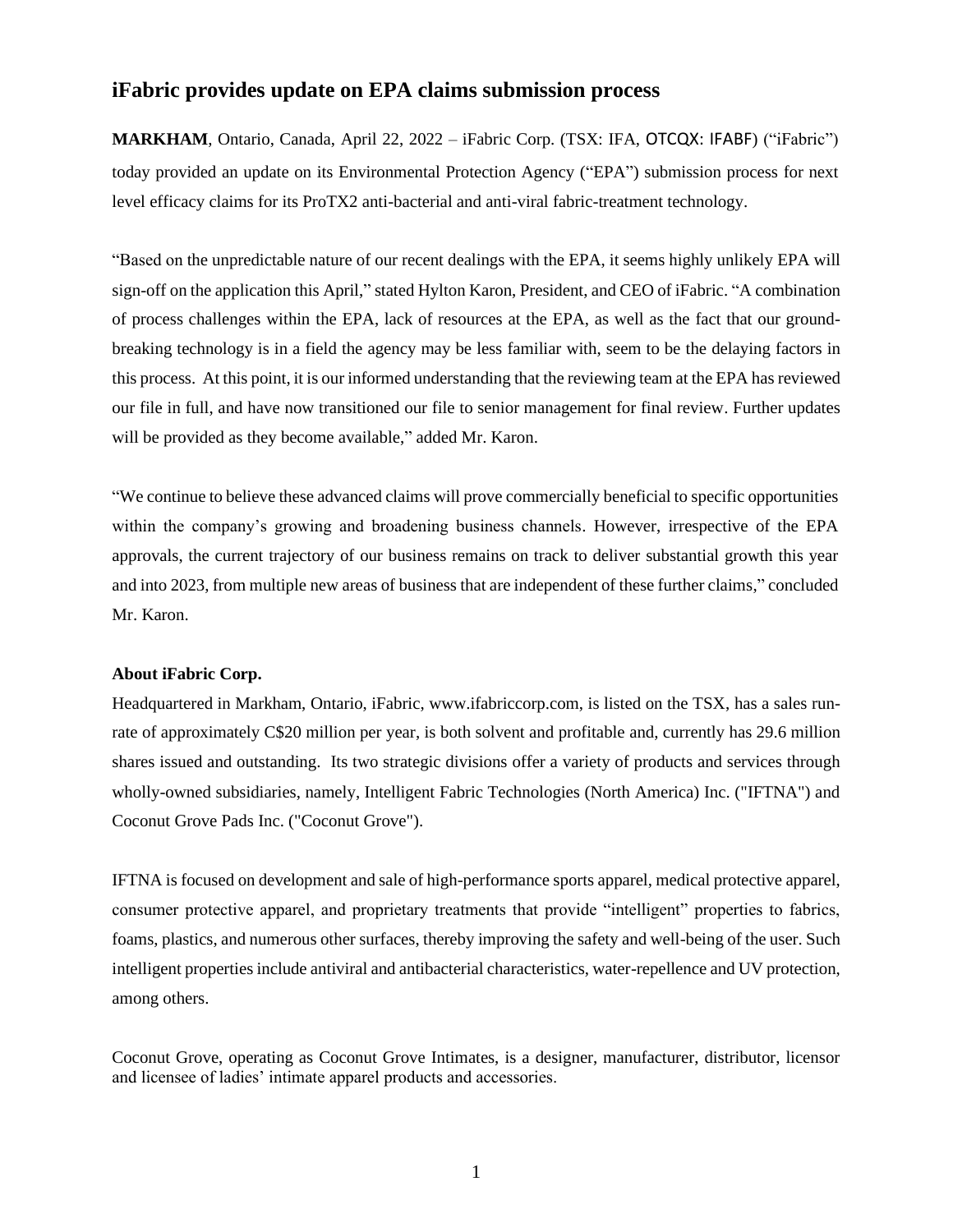## **iFabric provides update on EPA claims submission process**

**MARKHAM**, Ontario, Canada, April 22, 2022 – iFabric Corp. (TSX: IFA, OTCQX: IFABF) ("iFabric") today provided an update on its Environmental Protection Agency ("EPA") submission process for next level efficacy claims for its ProTX2 anti-bacterial and anti-viral fabric-treatment technology.

"Based on the unpredictable nature of our recent dealings with the EPA, it seems highly unlikely EPA will sign-off on the application this April," stated Hylton Karon, President, and CEO of iFabric. "A combination of process challenges within the EPA, lack of resources at the EPA, as well as the fact that our groundbreaking technology is in a field the agency may be less familiar with, seem to be the delaying factors in this process. At this point, it is our informed understanding that the reviewing team at the EPA has reviewed our file in full, and have now transitioned our file to senior management for final review. Further updates will be provided as they become available," added Mr. Karon.

"We continue to believe these advanced claims will prove commercially beneficial to specific opportunities within the company's growing and broadening business channels. However, irrespective of the EPA approvals, the current trajectory of our business remains on track to deliver substantial growth this year and into 2023, from multiple new areas of business that are independent of these further claims," concluded Mr. Karon.

## **About iFabric Corp.**

Headquartered in Markham, Ontario, iFabric, www.ifabriccorp.com, is listed on the TSX, has a sales runrate of approximately C\$20 million per year, is both solvent and profitable and, currently has 29.6 million shares issued and outstanding. Its two strategic divisions offer a variety of products and services through wholly-owned subsidiaries, namely, Intelligent Fabric Technologies (North America) Inc. ("IFTNA") and Coconut Grove Pads Inc. ("Coconut Grove").

IFTNA is focused on development and sale of high-performance sports apparel, medical protective apparel, consumer protective apparel, and proprietary treatments that provide "intelligent" properties to fabrics, foams, plastics, and numerous other surfaces, thereby improving the safety and well-being of the user. Such intelligent properties include antiviral and antibacterial characteristics, water-repellence and UV protection, among others.

Coconut Grove, operating as Coconut Grove Intimates, is a designer, manufacturer, distributor, licensor and licensee of ladies' intimate apparel products and accessories.